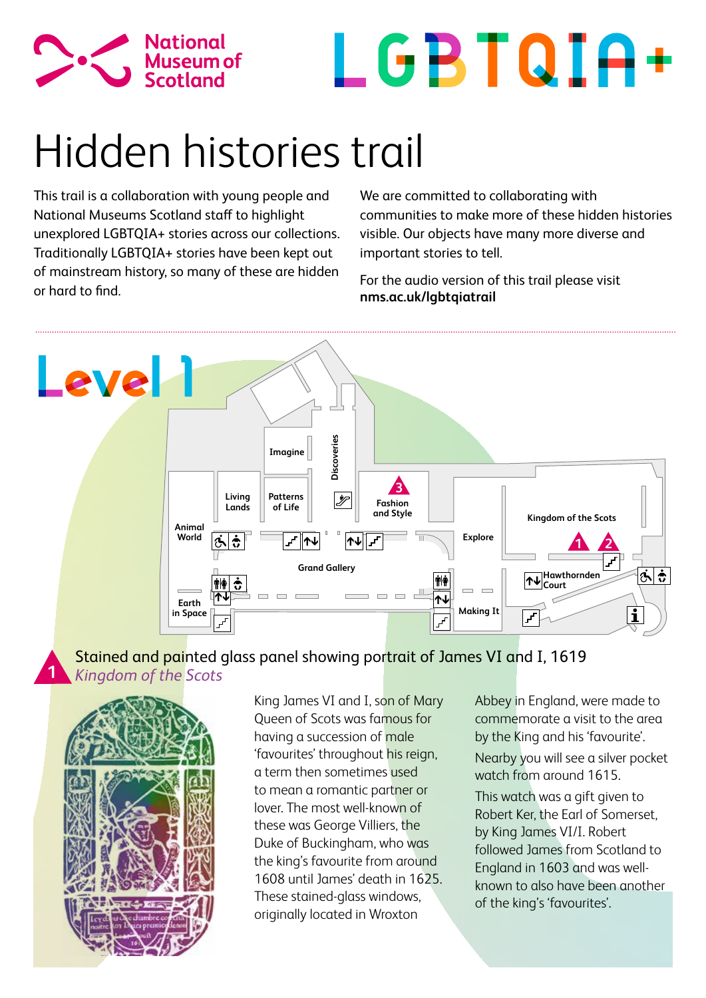



# Hidden histories trail

This trail is a collaboration with young people and National Museums Scotland staff to highlight unexplored LGBTQIA+ stories across our collections. Traditionally LGBTQIA+ stories have been kept out of mainstream history, so many of these are hidden or hard to find.

We are committed to collaborating with communities to make more of these hidden histories visible. Our objects have many more diverse and important stories to tell.

For the audio version of this trail please visit **nms.ac.uk/lgbtqiatrail**



Stained and painted glass panel showing portrait of James VI and I, 1619 *Kingdom of the Scots*



**1**

King James VI and I, son of Mary Queen of Scots was famous for having a succession of male 'favourites' throughout his reign, a term then sometimes used to mean a romantic partner or lover. The most well-known of these was George Villiers, the Duke of Buckingham, who was the king's favourite from around 1608 until James' death in 1625. These stained-glass windows, originally located in Wroxton

Abbey in England, were made to commemorate a visit to the area by the King and his 'favourite'. Nearby you will see a silver pocket watch from around 1615.

This watch was a gift given to Robert Ker, the Earl of Somerset, by King James VI/I. Robert followed James from Scotland to England in 1603 and was wellknown to also have been another of the king's 'favourites'.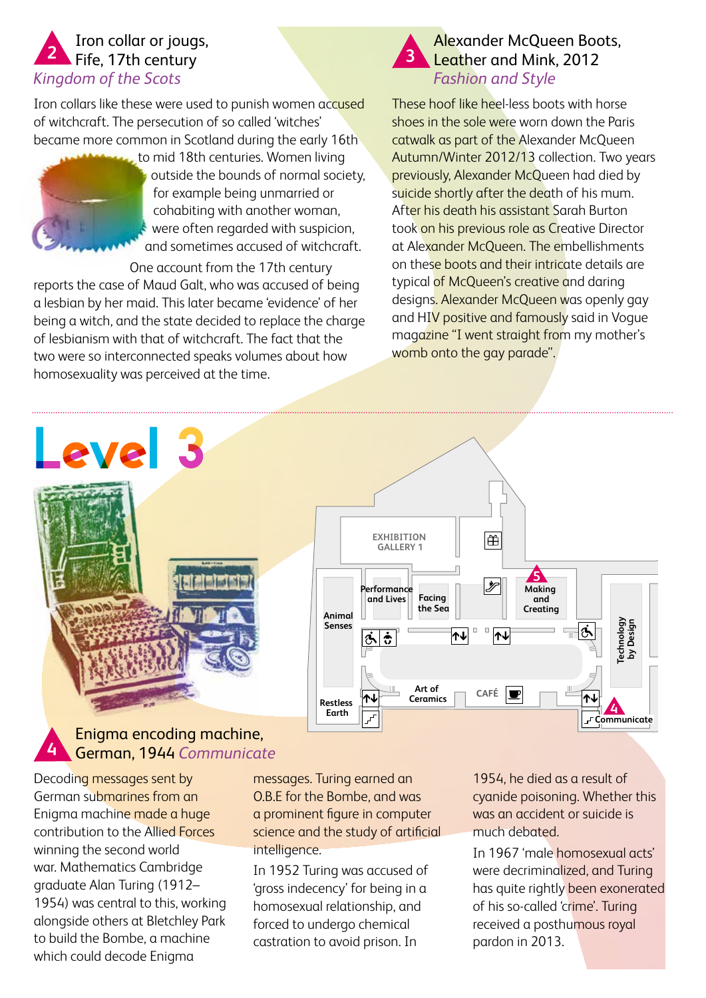## Iron collar or jougs, **2 a** Fife, 17th century **2 3** *Kingdom of the Scots*

Iron collars like these were used to punish women accused of witchcraft. The persecution of so called 'witches' became more common in Scotland during the early 16th



to mid 18th centuries. Women living outside the bounds of normal society, for example being unmarried or cohabiting with another woman, were often regarded with suspicion, and sometimes accused of witchcraft.

One account from the 17th century

reports the case of Maud Galt, who was accused of being a lesbian by her maid. This later became 'evidence' of her being a witch, and the state decided to replace the charge of lesbianism with that of witchcraft. The fact that the two were so interconnected speaks volumes about how homosexuality was perceived at the time.

# Alexander McQueen Boots, Leather and Mink, 2012 *Fashion and Style*

These hoof like heel-less boots with horse shoes in the sole were worn down the Paris catwalk as part of the Alexander McQueen Autumn/Winter 2012/13 collection. Two years previously, Alexander McQueen had died by suicide shortly after the death of his mum. After his death his assistant Sarah Burton took on his previous role as Creative Director at Alexander McQueen. The embellishments on these boots and their intricate details are typical of McQueen's creative and daring designs. Alexander McQueen was openly gay and HIV positive and famously said in Voque magazine "I went straight from my mother's womb onto the gay parade".

# Level 3 **I find furt for the**



#### Enigma encoding machine, German, 1944 *Communicate* **4**

Decoding messages sent by German submarines from an Enigma machine made a huge contribution to the Allied Forces winning the second world war. Mathematics Cambridge graduate Alan Turing (1912– 1954) was central to this, working alongside others at Bletchley Park to build the Bombe, a machine which could decode Enigma

messages. Turing earned an O.B.E for the Bombe, and was a prominent figure in computer science and the study of artificial intelligence.

In 1952 Turing was accused of 'gross indecency' for being in a homosexual relationship, and forced to undergo chemical castration to avoid prison. In

1954, he died as a result of cyanide poisoning. Whether this was an accident or suicide is much debated.

In 1967 'male homosexual acts' were decriminalized, and Turing has quite rightly been exonerated of his so-called 'crime'. Turing received a posthumous royal pardon in 2013.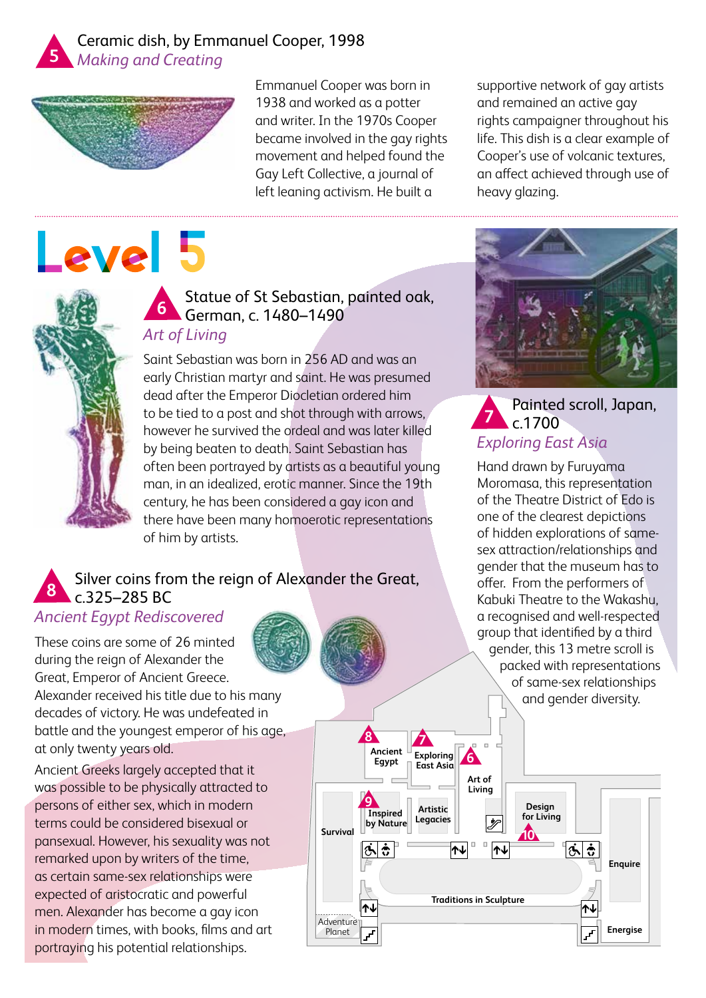



# Level 5

Emmanuel Cooper was born in 1938 and worked as a potter and writer. In the 1970s Cooper became involved in the gay rights movement and helped found the Gay Left Collective, a journal of left leaning activism. He built a

supportive network of gay artists and remained an active gay rights campaigner throughout his life. This dish is a clear example of Cooper's use of volcanic textures, an affect achieved through use of heavy glazing.



## Statue of St Sebastian, painted oak, German, c. 1480–1490 **6** *Art of Living*

Saint Sebastian was born in 256 AD and was an early Christian martyr and saint. He was presumed dead after the Emperor Diocletian ordered him to be tied to a post and shot through with arrows, however he survived the ordeal and was later killed by being beaten to death. Saint Sebastian has often been portrayed by artists as a beautiful young man, in an idealized, erotic manner. Since the 19th century, he has been considered a gay icon and there have been many homoerotic representations of him by artists.

#### Silver coins from the reign of Alexander the Great, c.325–285 BC **8**

# *Ancient Egypt Rediscovered*

These coins are some of 26 minted during the reign of Alexander the Great, Emperor of Ancient Greece. Alexander received his title due to his many

decades of victory. He was undefeated in battle and the youngest emperor of his age, at only twenty years old.

Ancient Greeks largely accepted that it was possible to be physically attracted to persons of either sex, which in modern terms could be considered bisexual or pansexual. However, his sexuality was not remarked upon by writers of the time, as certain same-sex relationships were expected of aristocratic and powerful men. Alexander has become a gay icon in modern times, with books, films and art portraying his potential relationships.





#### Painted scroll, Japan,  $c.1700$ *Exploring East Asia*  **7**

Hand drawn by Furuyama Moromasa, this representation of the Theatre District of Edo is one of the clearest depictions of hidden explorations of samesex attraction/relationships and gender that the museum has to offer. From the performers of Kabuki Theatre to the Wakashu, a recognised and well-respected group that identified by a third gender, this 13 metre scroll is packed with representations of same-sex relationships and gender diversity.